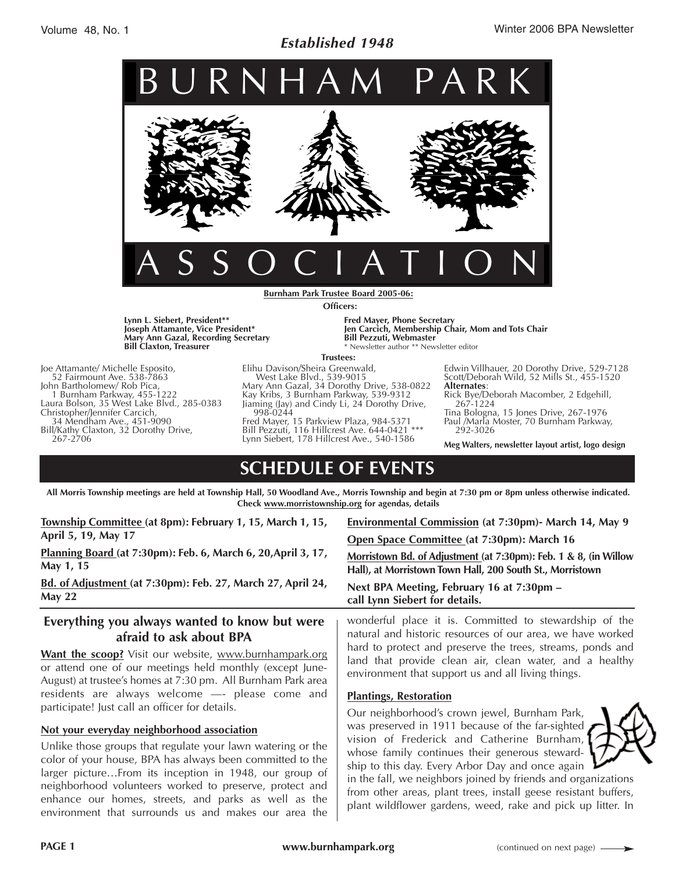## *Established 1948*



**Burnham Park Trustee Board 2005-06: Officers:**

**Lynn L. Siebert, President\*\* Joseph Attamante, Vice President\* Mary Ann Gazal, Recording Secretary Bill Claxton, Treasurer**

environment that surrounds us and makes our area the

Joe Attamante/ Michelle Esposito, 52 Fairmount Ave. 538-7863 John Bartholomew/ Rob Pica,<br>1 Burnham Parkway, 455-1222 Laura Bolson, 35 West Lake Blvd., 285-0383<br>Christopher/Jennifer Carcich, 34 Mendham Ave., 451-9090 Bill/Kathy Claxton, 32 Dorothy Drive, 267-2706

**Fred Mayer, Phone Secretary Jen Carcich, Membership Chair, Mom and Tots Chair Bill Pezzuti, Webmaster** \* Newsletter author \*\* Newsletter editor

#### **Trustees:**

Elihu Davison/Sheira Greenwald, West Lake Blvd., 539-9015 Mary Ann Gazal, 34 Dorothy Drive, 538-0822 Kay Kribs, 3 Burnham Parkway, 539-9312 Jiaming (Jay) and Cindy Li, 24 Dorothy Drive, 998-0244 Fred Mayer, 15 Parkview Plaza, 984-5371

Bill Pezzuti, 116 Hillcrest Ave. 644-0421 \*\*\* Lynn Siebert, 178 Hillcrest Ave., 540-1586

Edwin Villhauer, 20 Dorothy Drive, 529-7128 Scott/Deborah Wild, 52 Mills St., 455-1520<br>**Alternates**:

**Alternates**: Rick Bye/Deborah Macomber, 2 Edgehill, 267-1224

Tina Bologna, 15 Jones Drive, 267-1976 Paul /Marla Moster, 70 Burnham Parkway, 292-3026

**Meg Walters, newsletter layout artist, logo design**

# **SCHEDULE OF EVENTS**

**All Morris Township meetings are held at Township Hall, 50 Woodland Ave., Morris Township and begin at 7:30 pm or 8pm unless otherwise indicated. Check www.morristownship.org for agendas, details**

| Township Committee (at 8pm): February 1, 15, March 1, 15,                                                                                                                                                                                                                                             | Environmental Commission (at 7:30pm) - March 14, May 9                                                                                                                                                                                                                                                                                                                                        |  |
|-------------------------------------------------------------------------------------------------------------------------------------------------------------------------------------------------------------------------------------------------------------------------------------------------------|-----------------------------------------------------------------------------------------------------------------------------------------------------------------------------------------------------------------------------------------------------------------------------------------------------------------------------------------------------------------------------------------------|--|
| April 5, 19, May 17                                                                                                                                                                                                                                                                                   | Open Space Committee (at 7:30pm): March 16                                                                                                                                                                                                                                                                                                                                                    |  |
| Planning Board (at 7:30pm): Feb. 6, March 6, 20, April 3, 17,<br>May 1, 15                                                                                                                                                                                                                            | Morristown Bd. of Adjustment (at 7:30pm): Feb. 1 & 8, (in Willow<br>Hall), at Morristown Town Hall, 200 South St., Morristown                                                                                                                                                                                                                                                                 |  |
| Bd. of Adjustment (at 7:30pm): Feb. 27, March 27, April 24,<br><b>May 22</b>                                                                                                                                                                                                                          | Next BPA Meeting, February 16 at 7:30pm -<br>call Lynn Siebert for details.                                                                                                                                                                                                                                                                                                                   |  |
| Everything you always wanted to know but were<br>afraid to ask about BPA                                                                                                                                                                                                                              | wonderful place it is. Committed to stewardship of the<br>natural and historic resources of our area, we have worked                                                                                                                                                                                                                                                                          |  |
| <b>Want the scoop?</b> Visit our website, www.burnhampark.org<br>or attend one of our meetings held monthly (except June-<br>August) at trustee's homes at 7:30 pm. All Burnham Park area                                                                                                             | hard to protect and preserve the trees, streams, ponds and<br>land that provide clean air, clean water, and a healthy<br>environment that support us and all living things.                                                                                                                                                                                                                   |  |
| residents are always welcome -- please come and<br>participate! Just call an officer for details.                                                                                                                                                                                                     | <b>Plantings, Restoration</b>                                                                                                                                                                                                                                                                                                                                                                 |  |
|                                                                                                                                                                                                                                                                                                       | Our neighborhood's crown jewel, Burnham Park,                                                                                                                                                                                                                                                                                                                                                 |  |
| Not your everyday neighborhood association                                                                                                                                                                                                                                                            | was preserved in 1911 because of the far-sighted $\blacktriangleright$                                                                                                                                                                                                                                                                                                                        |  |
| Unlike those groups that regulate your lawn watering or the<br>color of your house, BPA has always been committed to the<br>larger pictureFrom its inception in 1948, our group of<br>neighborhood volunteers worked to preserve, protect and<br>enhance our homes, streets, and parks as well as the | vision of Frederick and Catherine Burnham,<br>whose family continues their generous steward-<br>ship to this day. Every Arbor Day and once again<br>in the fall, we neighbors joined by friends and organizations<br>from other areas, plant trees, install geese resistant buffers,<br>المرارية والمستقل المستنب والمنافس المستنب المستنقل والمستند والمستنب والكام التروي والمستنب والمستنب |  |

plant wildflower gardens, weed, rake and pick up litter. In

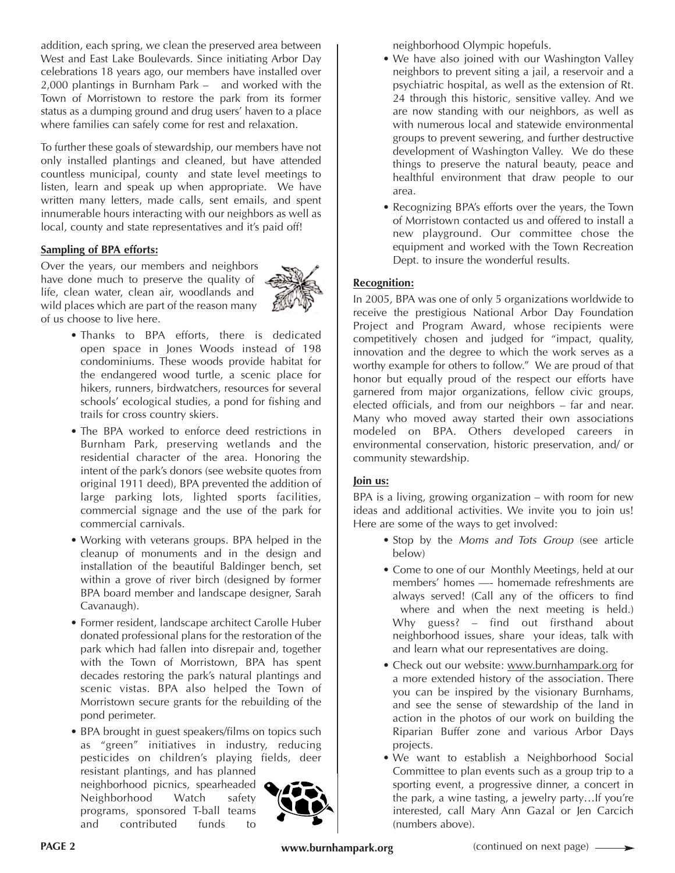addition, each spring, we clean the preserved area between West and East Lake Boulevards. Since initiating Arbor Day celebrations 18 years ago, our members have installed over 2,000 plantings in Burnham Park – and worked with the Town of Morristown to restore the park from its former status as a dumping ground and drug users' haven to a place where families can safely come for rest and relaxation.

To further these goals of stewardship, our members have not only installed plantings and cleaned, but have attended countless municipal, county and state level meetings to listen, learn and speak up when appropriate. We have written many letters, made calls, sent emails, and spent innumerable hours interacting with our neighbors as well as local, county and state representatives and it's paid off!

#### **Sampling of BPA efforts:**

Over the years, our members and neighbors have done much to preserve the quality of life, clean water, clean air, woodlands and wild places which are part of the reason many of us choose to live here.



- Thanks to BPA efforts, there is dedicated open space in Jones Woods instead of 198 condominiums. These woods provide habitat for the endangered wood turtle, a scenic place for hikers, runners, birdwatchers, resources for several schools' ecological studies, a pond for fishing and trails for cross country skiers.
- The BPA worked to enforce deed restrictions in Burnham Park, preserving wetlands and the residential character of the area. Honoring the intent of the park's donors (see website quotes from original 1911 deed), BPA prevented the addition of large parking lots, lighted sports facilities, commercial signage and the use of the park for commercial carnivals.
- Working with veterans groups. BPA helped in the cleanup of monuments and in the design and installation of the beautiful Baldinger bench, set within a grove of river birch (designed by former BPA board member and landscape designer, Sarah Cavanaugh).
- Former resident, landscape architect Carolle Huber donated professional plans for the restoration of the park which had fallen into disrepair and, together with the Town of Morristown, BPA has spent decades restoring the park's natural plantings and scenic vistas. BPA also helped the Town of Morristown secure grants for the rebuilding of the pond perimeter.
- BPA brought in guest speakers/films on topics such as "green" initiatives in industry, reducing pesticides on children's playing fields, deer resistant plantings, and has planned neighborhood picnics, spearheaded

Neighborhood Watch safety programs, sponsored T-ball teams and contributed funds to



neighborhood Olympic hopefuls.

- We have also joined with our Washington Valley neighbors to prevent siting a jail, a reservoir and a psychiatric hospital, as well as the extension of Rt. 24 through this historic, sensitive valley. And we are now standing with our neighbors, as well as with numerous local and statewide environmental groups to prevent sewering, and further destructive development of Washington Valley. We do these things to preserve the natural beauty, peace and healthful environment that draw people to our area.
- Recognizing BPA's efforts over the years, the Town of Morristown contacted us and offered to install a new playground. Our committee chose the equipment and worked with the Town Recreation Dept. to insure the wonderful results.

#### **Recognition:**

In 2005, BPA was one of only 5 organizations worldwide to receive the prestigious National Arbor Day Foundation Project and Program Award, whose recipients were competitively chosen and judged for "impact, quality, innovation and the degree to which the work serves as a worthy example for others to follow." We are proud of that honor but equally proud of the respect our efforts have garnered from major organizations, fellow civic groups, elected officials, and from our neighbors – far and near. Many who moved away started their own associations modeled on BPA. Others developed careers in environmental conservation, historic preservation, and/ or community stewardship.

#### **Join us:**

BPA is a living, growing organization – with room for new ideas and additional activities. We invite you to join us! Here are some of the ways to get involved:

- Stop by the *Moms and Tots Group* (see article below)
- Come to one of our Monthly Meetings, held at our members' homes —- homemade refreshments are always served! (Call any of the officers to find where and when the next meeting is held.) Why guess? – find out firsthand about neighborhood issues, share your ideas, talk with and learn what our representatives are doing.
- Check out our website: www.burnhampark.org for a more extended history of the association. There you can be inspired by the visionary Burnhams, and see the sense of stewardship of the land in action in the photos of our work on building the Riparian Buffer zone and various Arbor Days projects.
- We want to establish a Neighborhood Social Committee to plan events such as a group trip to a sporting event, a progressive dinner, a concert in the park, a wine tasting, a jewelry party…If you're interested, call Mary Ann Gazal or Jen Carcich (numbers above).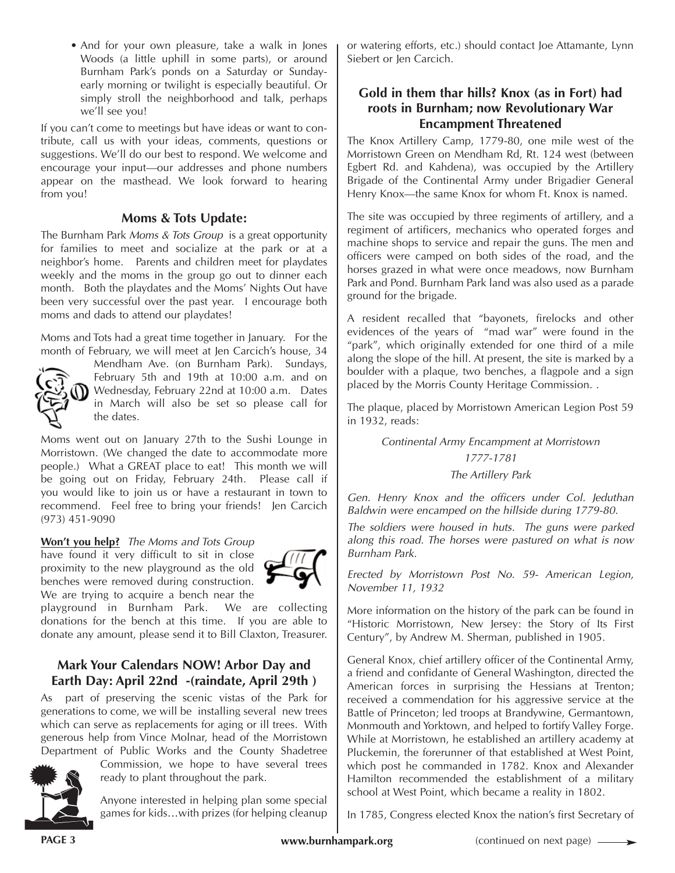• And for your own pleasure, take a walk in Jones Woods (a little uphill in some parts), or around Burnham Park's ponds on a Saturday or Sundayearly morning or twilight is especially beautiful. Or simply stroll the neighborhood and talk, perhaps we'll see you!

If you can't come to meetings but have ideas or want to contribute, call us with your ideas, comments, questions or suggestions. We'll do our best to respond. We welcome and encourage your input—our addresses and phone numbers appear on the masthead. We look forward to hearing from you!

### **Moms & Tots Update:**

The Burnham Park *Moms & Tots Group* is a great opportunity for families to meet and socialize at the park or at a neighbor's home. Parents and children meet for playdates weekly and the moms in the group go out to dinner each month. Both the playdates and the Moms' Nights Out have been very successful over the past year. I encourage both moms and dads to attend our playdates!

Moms and Tots had a great time together in January. For the month of February, we will meet at Jen Carcich's house, 34



Mendham Ave. (on Burnham Park). Sundays, February 5th and 19th at 10:00 a.m. and on Wednesday, February 22nd at 10:00 a.m. Dates in March will also be set so please call for the dates.

Moms went out on January 27th to the Sushi Lounge in Morristown. (We changed the date to accommodate more people.) What a GREAT place to eat! This month we will be going out on Friday, February 24th. Please call if you would like to join us or have a restaurant in town to recommend. Feel free to bring your friends! Jen Carcich (973) 451-9090

**Won't you help?** *The Moms and Tots Group*

have found it very difficult to sit in close proximity to the new playground as the old benches were removed during construction. We are trying to acquire a bench near the



playground in Burnham Park. We are collecting donations for the bench at this time. If you are able to donate any amount, please send it to Bill Claxton, Treasurer.

## **Mark Your Calendars NOW! Arbor Day and Earth Day: April 22nd -(raindate, April 29th )**

As part of preserving the scenic vistas of the Park for generations to come, we will be installing several new trees which can serve as replacements for aging or ill trees. With generous help from Vince Molnar, head of the Morristown Department of Public Works and the County Shadetree



Commission, we hope to have several trees ready to plant throughout the park.

Anyone interested in helping plan some special games for kids…with prizes (for helping cleanup or watering efforts, etc.) should contact Joe Attamante, Lynn Siebert or Jen Carcich.

## **Gold in them thar hills? Knox (as in Fort) had roots in Burnham; now Revolutionary War Encampment Threatened**

The Knox Artillery Camp, 1779-80, one mile west of the Morristown Green on Mendham Rd, Rt. 124 west (between Egbert Rd. and Kahdena), was occupied by the Artillery Brigade of the Continental Army under Brigadier General Henry Knox—the same Knox for whom Ft. Knox is named.

The site was occupied by three regiments of artillery, and a regiment of artificers, mechanics who operated forges and machine shops to service and repair the guns. The men and officers were camped on both sides of the road, and the horses grazed in what were once meadows, now Burnham Park and Pond. Burnham Park land was also used as a parade ground for the brigade.

A resident recalled that "bayonets, firelocks and other evidences of the years of "mad war" were found in the "park", which originally extended for one third of a mile along the slope of the hill. At present, the site is marked by a boulder with a plaque, two benches, a flagpole and a sign placed by the Morris County Heritage Commission. .

The plaque, placed by Morristown American Legion Post 59 in 1932, reads:

> *Continental Army Encampment at Morristown 1777-1781 The Artillery Park*

*Gen. Henry Knox and the officers under Col. Jeduthan Baldwin were encamped on the hillside during 1779-80.*

*The soldiers were housed in huts. The guns were parked along this road. The horses were pastured on what is now Burnham Park.*

*Erected by Morristown Post No. 59- American Legion, November 11, 1932*

More information on the history of the park can be found in "Historic Morristown, New Jersey: the Story of Its First Century", by Andrew M. Sherman, published in 1905.

General Knox, chief artillery officer of the Continental Army, a friend and confidante of General Washington, directed the American forces in surprising the Hessians at Trenton; received a commendation for his aggressive service at the Battle of Princeton; led troops at Brandywine, Germantown, Monmouth and Yorktown, and helped to fortify Valley Forge. While at Morristown, he established an artillery academy at Pluckemin, the forerunner of that established at West Point, which post he commanded in 1782. Knox and Alexander Hamilton recommended the establishment of a military school at West Point, which became a reality in 1802.

In 1785, Congress elected Knox the nation's first Secretary of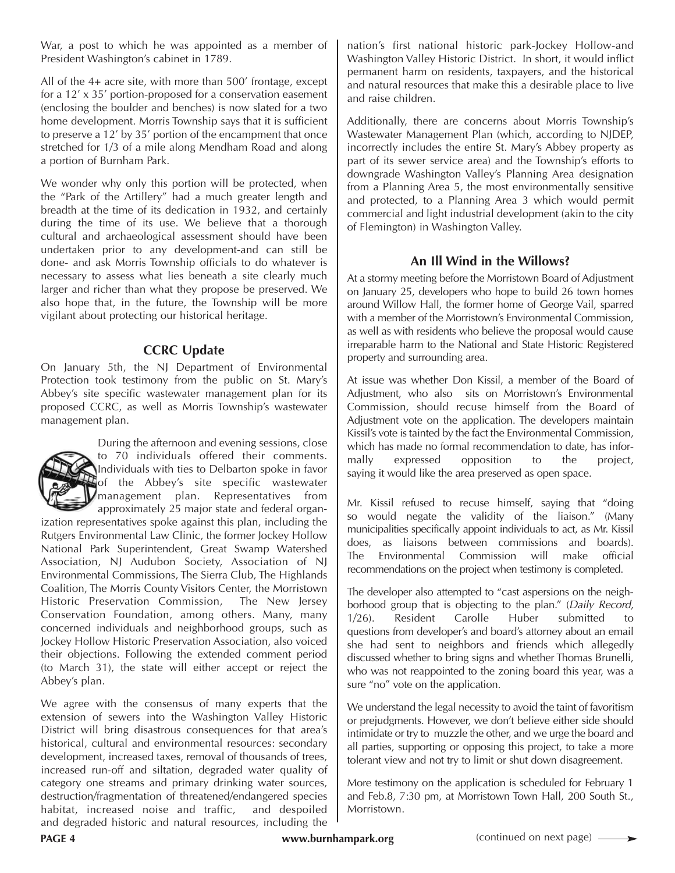War, a post to which he was appointed as a member of President Washington's cabinet in 1789.

All of the 4+ acre site, with more than 500' frontage, except for a 12' x 35' portion-proposed for a conservation easement (enclosing the boulder and benches) is now slated for a two home development. Morris Township says that it is sufficient to preserve a 12' by 35' portion of the encampment that once stretched for 1/3 of a mile along Mendham Road and along a portion of Burnham Park.

We wonder why only this portion will be protected, when the "Park of the Artillery" had a much greater length and breadth at the time of its dedication in 1932, and certainly during the time of its use. We believe that a thorough cultural and archaeological assessment should have been undertaken prior to any development-and can still be done- and ask Morris Township officials to do whatever is necessary to assess what lies beneath a site clearly much larger and richer than what they propose be preserved. We also hope that, in the future, the Township will be more vigilant about protecting our historical heritage.

### **CCRC Update**

On January 5th, the NJ Department of Environmental Protection took testimony from the public on St. Mary's Abbey's site specific wastewater management plan for its proposed CCRC, as well as Morris Township's wastewater management plan.



During the afternoon and evening sessions, close to 70 individuals offered their comments. Individuals with ties to Delbarton spoke in favor of the Abbey's site specific wastewater management plan. Representatives from approximately 25 major state and federal organ-

ization representatives spoke against this plan, including the Rutgers Environmental Law Clinic, the former Jockey Hollow National Park Superintendent, Great Swamp Watershed Association, NJ Audubon Society, Association of NJ Environmental Commissions, The Sierra Club, The Highlands Coalition, The Morris County Visitors Center, the Morristown Historic Preservation Commission, The New Jersey Conservation Foundation, among others. Many, many concerned individuals and neighborhood groups, such as Jockey Hollow Historic Preservation Association, also voiced their objections. Following the extended comment period (to March 31), the state will either accept or reject the Abbey's plan.

We agree with the consensus of many experts that the extension of sewers into the Washington Valley Historic District will bring disastrous consequences for that area's historical, cultural and environmental resources: secondary development, increased taxes, removal of thousands of trees, increased run-off and siltation, degraded water quality of category one streams and primary drinking water sources, destruction/fragmentation of threatened/endangered species habitat, increased noise and traffic, and despoiled and degraded historic and natural resources, including the nation's first national historic park-Jockey Hollow-and Washington Valley Historic District. In short, it would inflict permanent harm on residents, taxpayers, and the historical and natural resources that make this a desirable place to live and raise children.

Additionally, there are concerns about Morris Township's Wastewater Management Plan (which, according to NJDEP, incorrectly includes the entire St. Mary's Abbey property as part of its sewer service area) and the Township's efforts to downgrade Washington Valley's Planning Area designation from a Planning Area 5, the most environmentally sensitive and protected, to a Planning Area 3 which would permit commercial and light industrial development (akin to the city of Flemington) in Washington Valley.

## **An Ill Wind in the Willows?**

At a stormy meeting before the Morristown Board of Adjustment on January 25, developers who hope to build 26 town homes around Willow Hall, the former home of George Vail, sparred with a member of the Morristown's Environmental Commission, as well as with residents who believe the proposal would cause irreparable harm to the National and State Historic Registered property and surrounding area.

At issue was whether Don Kissil, a member of the Board of Adjustment, who also sits on Morristown's Environmental Commission, should recuse himself from the Board of Adjustment vote on the application. The developers maintain Kissil's vote is tainted by the fact the Environmental Commission, which has made no formal recommendation to date, has informally expressed opposition to the project, saying it would like the area preserved as open space.

Mr. Kissil refused to recuse himself, saying that "doing so would negate the validity of the liaison." (Many municipalities specifically appoint individuals to act, as Mr. Kissil does, as liaisons between commissions and boards). The Environmental Commission will make official recommendations on the project when testimony is completed.

The developer also attempted to "cast aspersions on the neighborhood group that is objecting to the plan." (*Daily Record*, 1/26). Resident Carolle Huber submitted to questions from developer's and board's attorney about an email she had sent to neighbors and friends which allegedly discussed whether to bring signs and whether Thomas Brunelli, who was not reappointed to the zoning board this year, was a sure "no" vote on the application.

We understand the legal necessity to avoid the taint of favoritism or prejudgments. However, we don't believe either side should intimidate or try to muzzle the other, and we urge the board and all parties, supporting or opposing this project, to take a more tolerant view and not try to limit or shut down disagreement.

More testimony on the application is scheduled for February 1 and Feb.8, 7:30 pm, at Morristown Town Hall, 200 South St., Morristown.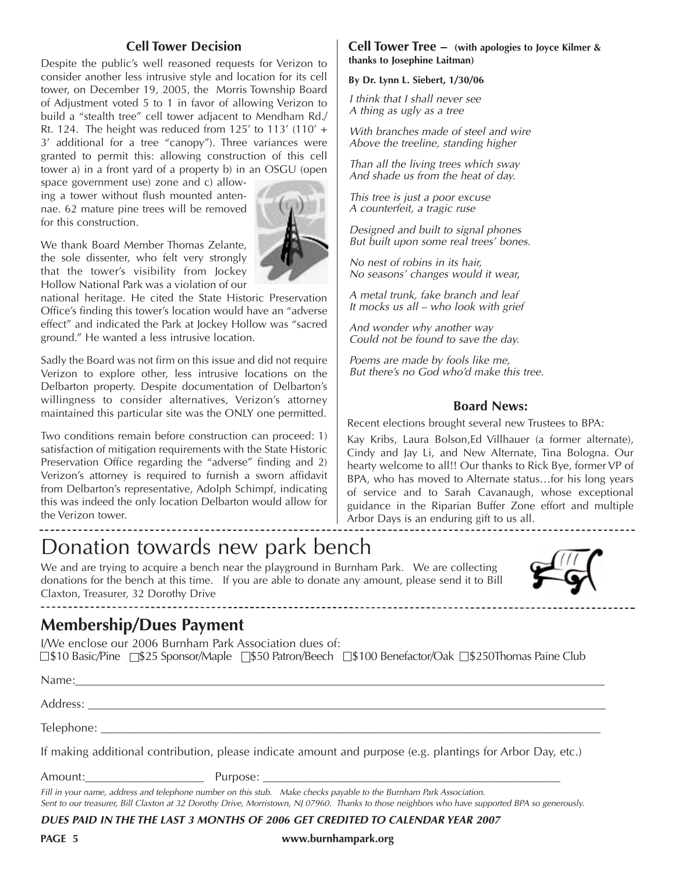#### **Cell Tower Decision**

Despite the public's well reasoned requests for Verizon to consider another less intrusive style and location for its cell tower, on December 19, 2005, the Morris Township Board of Adjustment voted 5 to 1 in favor of allowing Verizon to build a "stealth tree" cell tower adjacent to Mendham Rd./ Rt. 124. The height was reduced from 125' to 113' (110' + 3' additional for a tree "canopy"). Three variances were granted to permit this: allowing construction of this cell tower a) in a front yard of a property b) in an OSGU (open

space government use) zone and c) allowing a tower without flush mounted antennae. 62 mature pine trees will be removed for this construction.

We thank Board Member Thomas Zelante, the sole dissenter, who felt very strongly that the tower's visibility from Jockey Hollow National Park was a violation of our

national heritage. He cited the State Historic Preservation Office's finding this tower's location would have an "adverse effect" and indicated the Park at Jockey Hollow was "sacred ground." He wanted a less intrusive location.

Sadly the Board was not firm on this issue and did not require Verizon to explore other, less intrusive locations on the Delbarton property. Despite documentation of Delbarton's willingness to consider alternatives, Verizon's attorney maintained this particular site was the ONLY one permitted.

Two conditions remain before construction can proceed: 1) satisfaction of mitigation requirements with the State Historic Preservation Office regarding the "adverse" finding and 2) Verizon's attorney is required to furnish a sworn affidavit from Delbarton's representative, Adolph Schimpf, indicating this was indeed the only location Delbarton would allow for the Verizon tower.

# Donation towards new park bench

We and are trying to acquire a bench near the playground in Burnham Park. We are collecting donations for the bench at this time. If you are able to donate any amount, please send it to Bill Claxton, Treasurer, 32 Dorothy Drive

## **Membership/Dues Payment**

I/We enclose our 2006 Burnham Park Association dues of:  $\Box$ \$10 Basic/Pine  $\Box$ \$25 Sponsor/Maple  $\Box$ \$50 Patron/Beech  $\Box$ \$100 Benefactor/Oak  $\Box$ \$250Thomas Paine Club

-----------------------

| Name:      |  |
|------------|--|
| Address:   |  |
| Telephone: |  |

If making additional contribution, please indicate amount and purpose (e.g. plantings for Arbor Day, etc.)

Amount:\_\_\_\_\_\_\_\_\_\_\_\_\_\_\_\_\_\_\_\_ Purpose: \_\_\_\_\_\_\_\_\_\_\_\_\_\_\_\_\_\_\_\_\_\_\_\_\_\_\_\_\_\_\_\_\_\_\_\_\_\_\_\_\_\_\_\_\_\_\_\_\_\_

#### *Fill in your name, address and telephone number on this stub. Make checks payable to the Burnham Park Association. Sent to our treasurer, Bill Claxton at 32 Dorothy Drive, Morristown, NJ 07960. Thanks to those neighbors who have supported BPA so generously.*

*DUES PAID IN THE THE LAST 3 MONTHS OF 2006 GET CREDITED TO CALENDAR YEAR 2007*

#### **PAGE 5 www.burnhampark.org**

#### **Cell Tower Tree – (with apologies to Joyce Kilmer & thanks to Josephine Laitman)**

#### **By Dr. Lynn L. Siebert, 1/30/06**

*I think that I shall never see A thing as ugly as a tree*

*With branches made of steel and wire Above the treeline, standing higher*

*Than all the living trees which sway And shade us from the heat of day.*

*This tree is just a poor excuse A counterfeit, a tragic ruse*

*Designed and built to signal phones But built upon some real trees' bones.*

*No nest of robins in its hair, No seasons' changes would it wear,*

*A metal trunk, fake branch and leaf It mocks us all – who look with grief*

*And wonder why another way Could not be found to save the day.*

*Poems are made by fools like me, But there's no God who'd make this tree.*

#### **Board News:**

Recent elections brought several new Trustees to BPA:

Kay Kribs, Laura Bolson,Ed Villhauer (a former alternate), Cindy and Jay Li, and New Alternate, Tina Bologna. Our hearty welcome to all!! Our thanks to Rick Bye, former VP of BPA, who has moved to Alternate status…for his long years of service and to Sarah Cavanaugh, whose exceptional guidance in the Riparian Buffer Zone effort and multiple Arbor Days is an enduring gift to us all.